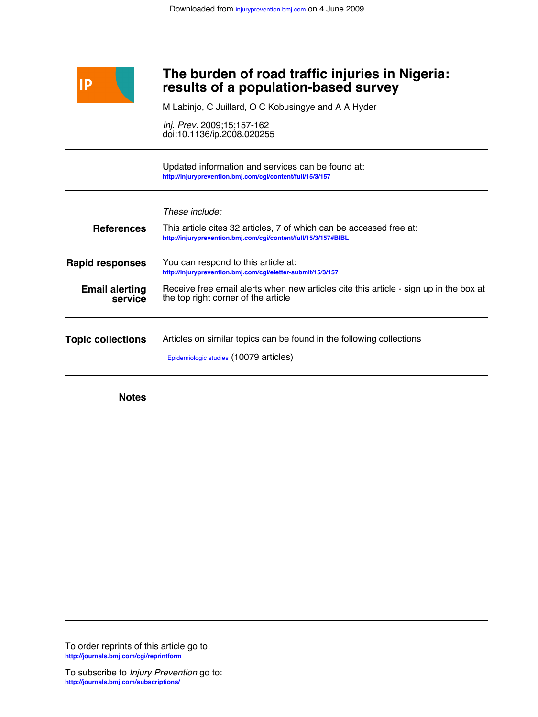

## **results of a population-based survey The burden of road traffic injuries in Nigeria:**

M Labinjo, C Juillard, O C Kobusingye and A A Hyder

doi:10.1136/ip.2008.020255 *Inj. Prev.* 2009;15;157-162

**<http://injuryprevention.bmj.com/cgi/content/full/15/3/157>** Updated information and services can be found at:

*These include:*

| This article cites 32 articles, 7 of which can be accessed free at:<br>http://injuryprevention.bmj.com/cqi/content/full/15/3/157#BIBL |
|---------------------------------------------------------------------------------------------------------------------------------------|
| You can respond to this article at:<br>http://injuryprevention.bmj.com/cgi/eletter-submit/15/3/157                                    |
| Receive free email alerts when new articles cite this article - sign up in the box at<br>the top right corner of the article          |
| Articles on similar topics can be found in the following collections<br>Epidemiologic studies (10079 articles)                        |
|                                                                                                                                       |

**Notes**

**<http://journals.bmj.com/cgi/reprintform>** To order reprints of this article go to: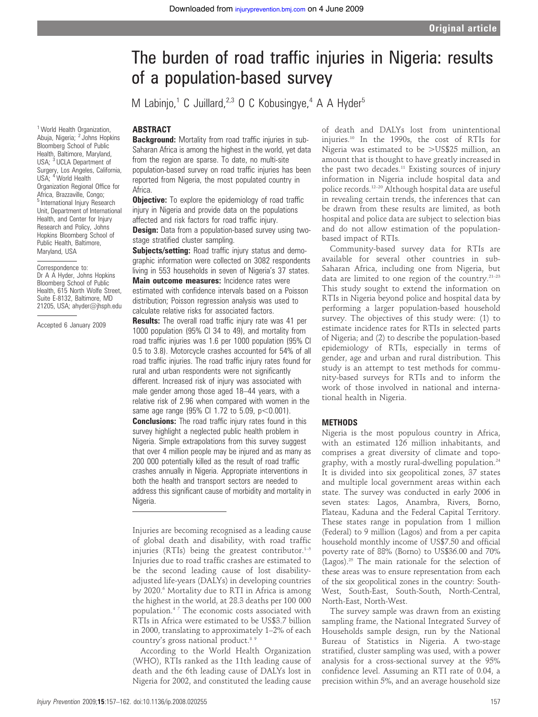# The burden of road traffic injuries in Nigeria: results of a population-based survey

M Labinjo,<sup>1</sup> C Juillard,<sup>2,3</sup> O C Kobusingye,<sup>4</sup> A A Hyder<sup>5</sup>

#### ABSTRACT

**Background:** Mortality from road traffic injuries in sub-Saharan Africa is among the highest in the world, yet data from the region are sparse. To date, no multi-site population-based survey on road traffic injuries has been reported from Nigeria, the most populated country in Africa.

**Objective:** To explore the epidemiology of road traffic injury in Nigeria and provide data on the populations affected and risk factors for road traffic injury.

**Design:** Data from a population-based survey using twostage stratified cluster sampling.

Subjects/setting: Road traffic injury status and demographic information were collected on 3082 respondents living in 553 households in seven of Nigeria's 37 states.

Main outcome measures: Incidence rates were estimated with confidence intervals based on a Poisson distribution; Poisson regression analysis was used to calculate relative risks for associated factors.

**Results:** The overall road traffic injury rate was 41 per 1000 population (95% CI 34 to 49), and mortality from road traffic injuries was 1.6 per 1000 population (95% CI 0.5 to 3.8). Motorcycle crashes accounted for 54% of all road traffic injuries. The road traffic injury rates found for rural and urban respondents were not significantly different. Increased risk of injury was associated with male gender among those aged 18–44 years, with a relative risk of 2.96 when compared with women in the same age range (95% CI 1.72 to 5.09,  $p<0.001$ ). **Conclusions:** The road traffic injury rates found in this

survey highlight a neglected public health problem in Nigeria. Simple extrapolations from this survey suggest that over 4 million people may be injured and as many as 200 000 potentially killed as the result of road traffic crashes annually in Nigeria. Appropriate interventions in both the health and transport sectors are needed to address this significant cause of morbidity and mortality in Nigeria.

Injuries are becoming recognised as a leading cause of global death and disability, with road traffic injuries (RTIs) being the greatest contributor. $1-5$ Injuries due to road traffic crashes are estimated to be the second leading cause of lost disabilityadjusted life-years (DALYs) in developing countries by 2020.<sup>6</sup> Mortality due to RTI in Africa is among the highest in the world, at 28.3 deaths per 100 000 population.4 7 The economic costs associated with RTIs in Africa were estimated to be US\$3.7 billion in 2000, translating to approximately 1–2% of each country's gross national product.<sup>89</sup>

According to the World Health Organization (WHO), RTIs ranked as the 11th leading cause of death and the 6th leading cause of DALYs lost in Nigeria for 2002, and constituted the leading cause

of death and DALYs lost from unintentional injuries.10 In the 1990s, the cost of RTIs for Nigeria was estimated to be  $>$ US\$25 million, an amount that is thought to have greatly increased in the past two decades.<sup>11</sup> Existing sources of injury information in Nigeria include hospital data and police records.12–20 Although hospital data are useful in revealing certain trends, the inferences that can be drawn from these results are limited, as both hospital and police data are subject to selection bias and do not allow estimation of the populationbased impact of RTIs.

Community-based survey data for RTIs are available for several other countries in sub-Saharan Africa, including one from Nigeria, but data are limited to one region of the country. $21-23$ This study sought to extend the information on RTIs in Nigeria beyond police and hospital data by performing a larger population-based household survey. The objectives of this study were: (1) to estimate incidence rates for RTIs in selected parts of Nigeria; and (2) to describe the population-based epidemiology of RTIs, especially in terms of gender, age and urban and rural distribution. This study is an attempt to test methods for community-based surveys for RTIs and to inform the work of those involved in national and international health in Nigeria.

#### **METHODS**

Nigeria is the most populous country in Africa, with an estimated 126 million inhabitants, and comprises a great diversity of climate and topography, with a mostly rural-dwelling population.<sup>24</sup> It is divided into six geopolitical zones, 37 states and multiple local government areas within each state. The survey was conducted in early 2006 in seven states: Lagos, Anambra, Rivers, Borno, Plateau, Kaduna and the Federal Capital Territory. These states range in population from 1 million (Federal) to 9 million (Lagos) and from a per capita household monthly income of US\$7.50 and official poverty rate of 88% (Borno) to US\$36.00 and 70% (Lagos).<sup>25</sup> The main rationale for the selection of these areas was to ensure representation from each of the six geopolitical zones in the country: South-West, South-East, South-South, North-Central, North-East, North-West.

The survey sample was drawn from an existing sampling frame, the National Integrated Survey of Households sample design, run by the National Bureau of Statistics in Nigeria. A two-stage stratified, cluster sampling was used, with a power analysis for a cross-sectional survey at the 95% confidence level. Assuming an RTI rate of 0.04, a precision within 5%, and an average household size

<sup>1</sup> World Health Organization Abuja, Nigeria; <sup>2</sup> Johns Hopkins Bloomberg School of Public Health, Baltimore, Maryland, USA; <sup>3</sup> UCLA Department of Surgery, Los Angeles, California, USA; <sup>4</sup> World Health Organization Regional Office for Africa, Brazzaville, Congo; <sup>5</sup> International Injury Research Unit, Department of International Health, and Center for Injury Research and Policy, Johns Hopkins Bloomberg School of Public Health, Baltimore, Maryland, USA

Correspondence to: Dr A A Hyder, Johns Hopkins Bloomberg School of Public Health, 615 North Wolfe Street, Suite E-8132, Baltimore, MD 21205, USA; ahyder@jhsph.edu

Accepted 6 January 2009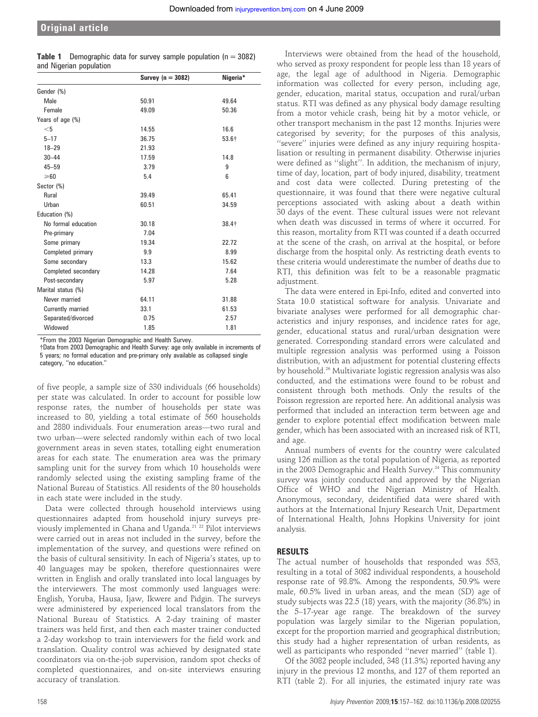| <b>Table 1</b> Demographic data for survey sample population ( $n = 3082$ ) |  |  |  |
|-----------------------------------------------------------------------------|--|--|--|
| and Nigerian population                                                     |  |  |  |

|                     | Survey $(n = 3082)$ | Nigeria* |
|---------------------|---------------------|----------|
| Gender (%)          |                     |          |
| <b>Male</b>         | 50.91               | 49.64    |
| Female              | 49.09               | 50.36    |
| Years of age (%)    |                     |          |
| $<$ 5               | 14.55               | 16.6     |
| $5 - 17$            | 36.75               | 53.6+    |
| $18 - 29$           | 21.93               |          |
| $30 - 44$           | 17.59               | 14.8     |
| $45 - 59$           | 3.79                | 9        |
| $\geq 60$           | 5.4                 | 6        |
| Sector (%)          |                     |          |
| Rural               | 39.49               | 65.41    |
| Urban               | 60.51               | 34.59    |
| Education (%)       |                     |          |
| No formal education | 30.18               | 38.4+    |
| Pre-primary         | 7.04                |          |
| Some primary        | 19.34               | 22.72    |
| Completed primary   | 9.9                 | 8.99     |
| Some secondary      | 13.3                | 15.62    |
| Completed secondary | 14.28               | 7.64     |
| Post-secondary      | 5.97                | 5.28     |
| Marital status (%)  |                     |          |
| Never married       | 64.11               | 31.88    |
| Currently married   | 33.1                | 61.53    |
| Separated/divorced  | 0.75                | 2.57     |
| Widowed             | 1.85                | 1.81     |

\*From the 2003 Nigerian Demographic and Health Survey.

{Data from 2003 Demographic and Health Survey: age only available in increments of 5 years; no formal education and pre-primary only available as collapsed single category, ''no education.''

of five people, a sample size of 330 individuals (66 households) per state was calculated. In order to account for possible low response rates, the number of households per state was increased to 80, yielding a total estimate of 560 households and 2880 individuals. Four enumeration areas—two rural and two urban—were selected randomly within each of two local government areas in seven states, totalling eight enumeration areas for each state. The enumeration area was the primary sampling unit for the survey from which 10 households were randomly selected using the existing sampling frame of the National Bureau of Statistics. All residents of the 80 households in each state were included in the study.

Data were collected through household interviews using questionnaires adapted from household injury surveys previously implemented in Ghana and Uganda.21 22 Pilot interviews were carried out in areas not included in the survey, before the implementation of the survey, and questions were refined on the basis of cultural sensitivity. In each of Nigeria's states, up to 40 languages may be spoken, therefore questionnaires were written in English and orally translated into local languages by the interviewers. The most commonly used languages were: English, Yoruba, Hausa, Ijaw, Ikwere and Pidgin. The surveys were administered by experienced local translators from the National Bureau of Statistics. A 2-day training of master trainers was held first, and then each master trainer conducted a 2-day workshop to train interviewers for the field work and translation. Quality control was achieved by designated state coordinators via on-the-job supervision, random spot checks of completed questionnaires, and on-site interviews ensuring accuracy of translation.

Interviews were obtained from the head of the household, who served as proxy respondent for people less than 18 years of age, the legal age of adulthood in Nigeria. Demographic information was collected for every person, including age, gender, education, marital status, occupation and rural/urban status. RTI was defined as any physical body damage resulting from a motor vehicle crash, being hit by a motor vehicle, or other transport mechanism in the past 12 months. Injuries were categorised by severity; for the purposes of this analysis, ''severe'' injuries were defined as any injury requiring hospitalisation or resulting in permanent disability. Otherwise injuries were defined as ''slight''. In addition, the mechanism of injury, time of day, location, part of body injured, disability, treatment and cost data were collected. During pretesting of the questionnaire, it was found that there were negative cultural perceptions associated with asking about a death within 30 days of the event. These cultural issues were not relevant when death was discussed in terms of where it occurred. For this reason, mortality from RTI was counted if a death occurred at the scene of the crash, on arrival at the hospital, or before discharge from the hospital only. As restricting death events to these criteria would underestimate the number of deaths due to RTI, this definition was felt to be a reasonable pragmatic adjustment.

The data were entered in Epi-Info, edited and converted into Stata 10.0 statistical software for analysis. Univariate and bivariate analyses were performed for all demographic characteristics and injury responses, and incidence rates for age, gender, educational status and rural/urban designation were generated. Corresponding standard errors were calculated and multiple regression analysis was performed using a Poisson distribution, with an adjustment for potential clustering effects by household.26 Multivariate logistic regression analysis was also conducted, and the estimations were found to be robust and consistent through both methods. Only the results of the Poisson regression are reported here. An additional analysis was performed that included an interaction term between age and gender to explore potential effect modification between male gender, which has been associated with an increased risk of RTI, and age.

Annual numbers of events for the country were calculated using 126 million as the total population of Nigeria, as reported in the 2003 Demographic and Health Survey.<sup>24</sup> This community survey was jointly conducted and approved by the Nigerian Office of WHO and the Nigerian Ministry of Health. Anonymous, secondary, deidentified data were shared with authors at the International Injury Research Unit, Department of International Health, Johns Hopkins University for joint analysis.

#### RESULTS

The actual number of households that responded was 553, resulting in a total of 3082 individual respondents, a household response rate of 98.8%. Among the respondents, 50.9% were male, 60.5% lived in urban areas, and the mean (SD) age of study subjects was 22.5 (18) years, with the majority (36.8%) in the 5–17-year age range. The breakdown of the survey population was largely similar to the Nigerian population, except for the proportion married and geographical distribution; this study had a higher representation of urban residents, as well as participants who responded ''never married'' (table 1).

Of the 3082 people included, 348 (11.3%) reported having any injury in the previous 12 months, and 127 of them reported an RTI (table 2). For all injuries, the estimated injury rate was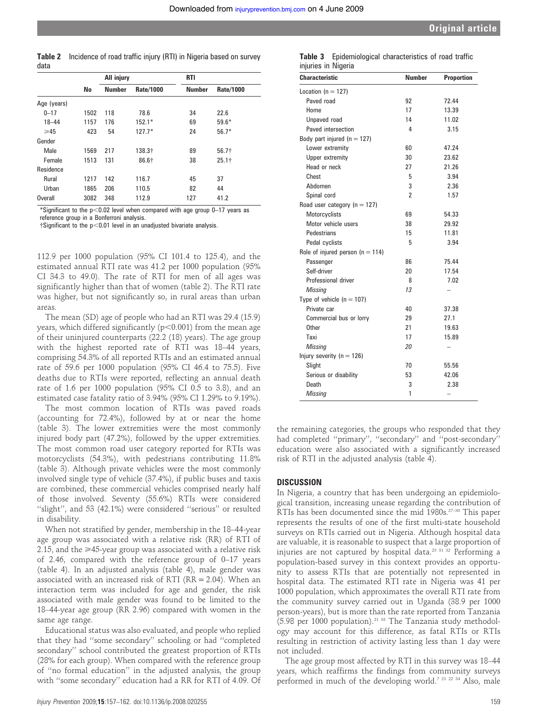Table 2 Incidence of road traffic injury (RTI) in Nigeria based on survey data

|             |      | All injury    |                  | <b>RTI</b> |                  |  |  |
|-------------|------|---------------|------------------|------------|------------------|--|--|
|             | No   | <b>Number</b> | <b>Rate/1000</b> | Number     | <b>Rate/1000</b> |  |  |
| Age (years) |      |               |                  |            |                  |  |  |
| $0 - 17$    | 1502 | 118           | 78.6             | 34         | 22.6             |  |  |
| $18 - 44$   | 1157 | 176           | $152.1*$         | 69         | $59.6*$          |  |  |
| $\geq 45$   | 423  | 54            | $127.7*$         | 24         | $56.7*$          |  |  |
| Gender      |      |               |                  |            |                  |  |  |
| Male        | 1569 | 217           | 138.3†           | 89         | $56.7+$          |  |  |
| Female      | 1513 | 131           | 86.6†            | 38         | $25.1+$          |  |  |
| Residence   |      |               |                  |            |                  |  |  |
| Rural       | 1217 | 142           | 116.7            | 45         | 37               |  |  |
| Urban       | 1865 | 206           | 110.5            | 82         | 44               |  |  |
| Overall     | 3082 | 348           | 112.9            | 127        | 41.2             |  |  |

\*Significant to the  $p<0.02$  level when compared with age group 0–17 years as reference group in a Bonferroni analysis.

 $\dagger$ Significant to the p<0.01 level in an unadjusted bivariate analysis.

112.9 per 1000 population (95% CI 101.4 to 125.4), and the estimated annual RTI rate was 41.2 per 1000 population (95% CI 34.3 to 49.0). The rate of RTI for men of all ages was significantly higher than that of women (table 2). The RTI rate was higher, but not significantly so, in rural areas than urban areas.

The mean (SD) age of people who had an RTI was 29.4 (15.9) years, which differed significantly ( $p<0.001$ ) from the mean age of their uninjured counterparts (22.2 (18) years). The age group with the highest reported rate of RTI was 18–44 years, comprising 54.3% of all reported RTIs and an estimated annual rate of 59.6 per 1000 population (95% CI 46.4 to 75.5). Five deaths due to RTIs were reported, reflecting an annual death rate of 1.6 per 1000 population (95% CI 0.5 to 3.8), and an estimated case fatality ratio of 3.94% (95% CI 1.29% to 9.19%).

The most common location of RTIs was paved roads (accounting for 72.4%), followed by at or near the home (table 3). The lower extremities were the most commonly injured body part (47.2%), followed by the upper extremities. The most common road user category reported for RTIs was motorcyclists (54.3%), with pedestrians contributing 11.8% (table 3). Although private vehicles were the most commonly involved single type of vehicle (37.4%), if public buses and taxis are combined, these commercial vehicles comprised nearly half of those involved. Seventy (55.6%) RTIs were considered ''slight'', and 53 (42.1%) were considered ''serious'' or resulted in disability.

When not stratified by gender, membership in the 18–44-year age group was associated with a relative risk (RR) of RTI of 2.15, and the  $\geq$ 45-year group was associated with a relative risk of 2.46, compared with the reference group of 0–17 years (table 4). In an adjusted analysis (table 4), male gender was associated with an increased risk of RTI ( $RR = 2.04$ ). When an interaction term was included for age and gender, the risk associated with male gender was found to be limited to the 18–44-year age group (RR 2.96) compared with women in the same age range.

Educational status was also evaluated, and people who replied that they had ''some secondary'' schooling or had ''completed secondary'' school contributed the greatest proportion of RTIs (28% for each group). When compared with the reference group of ''no formal education'' in the adjusted analysis, the group with ''some secondary'' education had a RR for RTI of 4.09. Of

|                     | <b>Table 3</b> Epidemiological characteristics of road traffic |  |  |
|---------------------|----------------------------------------------------------------|--|--|
| injuries in Nigeria |                                                                |  |  |

| Characteristic                       | <b>Number</b> | <b>Proportion</b>        |
|--------------------------------------|---------------|--------------------------|
| Location ( $n = 127$ )               |               |                          |
| Paved road                           | 92            | 72.44                    |
| Home                                 | 17            | 13.39                    |
| Unpaved road                         | 14            | 11.02                    |
| Paved intersection                   | 4             | 3.15                     |
| Body part injured ( $n = 127$ )      |               |                          |
| Lower extremity                      | 60            | 47.24                    |
| Upper extremity                      | 30            | 23.62                    |
| Head or neck                         | 27            | 21.26                    |
| Chest                                | 5             | 3.94                     |
| Abdomen                              | 3             | 2.36                     |
| Spinal cord                          | 2             | 1.57                     |
| Road user category ( $n = 127$ )     |               |                          |
| Motorcyclists                        | 69            | 54.33                    |
| Motor vehicle users                  | 38            | 29.92                    |
| Pedestrians                          | 15            | 11.81                    |
| Pedal cyclists                       | 5             | 3.94                     |
| Role of injured person ( $n = 114$ ) |               |                          |
| Passenger                            | 86            | 75.44                    |
| Self-driver                          | 20            | 17.54                    |
| Professional driver                  | 8             | 7.02                     |
| Missing                              | 13            |                          |
| Type of vehicle ( $n = 107$ )        |               |                          |
| Private car                          | 40            | 37.38                    |
| Commercial bus or lorry              | 29            | 27.1                     |
| Other                                | 21            | 19.63                    |
| Taxi                                 | 17            | 15.89                    |
| Missing                              | 20            | $\overline{\phantom{0}}$ |
| Injury severity ( $n = 126$ )        |               |                          |
| Slight                               | 70            | 55.56                    |
| Serious or disability                | 53            | 42.06                    |
| Death                                | 3             | 2.38                     |
| <b>Missing</b>                       | 1             | $\overline{\phantom{0}}$ |

the remaining categories, the groups who responded that they had completed ''primary'', ''secondary'' and ''post-secondary'' education were also associated with a significantly increased risk of RTI in the adjusted analysis (table 4).

#### **DISCUSSION**

In Nigeria, a country that has been undergoing an epidemiological transition, increasing unease regarding the contribution of RTIs has been documented since the mid 1980s.<sup>27-30</sup> This paper represents the results of one of the first multi-state household surveys on RTIs carried out in Nigeria. Although hospital data are valuable, it is reasonable to suspect that a large proportion of injuries are not captured by hospital data.<sup>23 31 32</sup> Performing a population-based survey in this context provides an opportunity to assess RTIs that are potentially not represented in hospital data. The estimated RTI rate in Nigeria was 41 per 1000 population, which approximates the overall RTI rate from the community survey carried out in Uganda (38.9 per 1000 person-years), but is more than the rate reported from Tanzania  $(5.98 \text{ per } 1000 \text{ population})$ .<sup>21 33</sup> The Tanzania study methodology may account for this difference, as fatal RTIs or RTIs resulting in restriction of activity lasting less than 1 day were not included.

The age group most affected by RTI in this survey was 18–44 years, which reaffirms the findings from community surveys performed in much of the developing world.<sup>7 21 22 34</sup> Also, male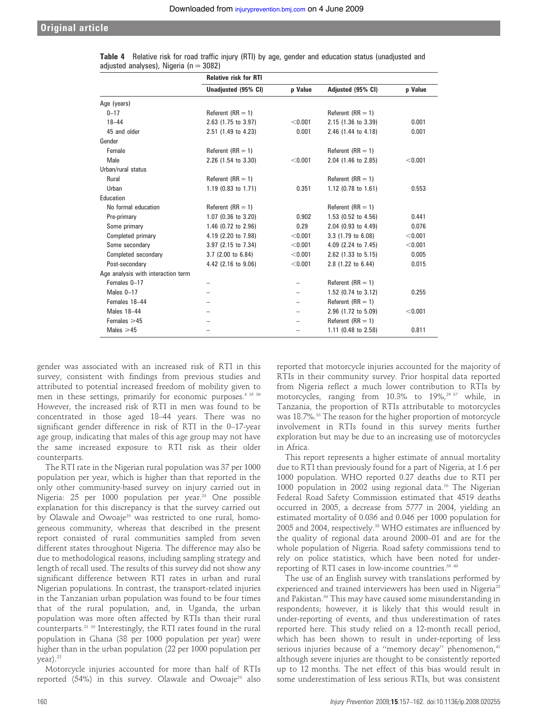#### Original article

|                                    | <b>Relative risk for RTI</b> |                |                     |         |
|------------------------------------|------------------------------|----------------|---------------------|---------|
|                                    | Unadjusted (95% CI)          | <b>p</b> Value | Adjusted (95% CI)   | p Value |
| Age (years)                        |                              |                |                     |         |
| $0 - 17$                           | Referent $(RR = 1)$          |                | Referent $(RR = 1)$ |         |
| $18 - 44$                          | 2.63 (1.75 to 3.97)          | < 0.001        | 2.15 (1.36 to 3.39) | 0.001   |
| 45 and older                       | 2.51 (1.49 to 4.23)          | 0.001          | 2.46 (1.44 to 4.18) | 0.001   |
| Gender                             |                              |                |                     |         |
| Female                             | Referent $(RR = 1)$          |                | Referent $(RR = 1)$ |         |
| Male                               | 2.26 (1.54 to 3.30)          | < 0.001        | 2.04 (1.46 to 2.85) | < 0.001 |
| Urban/rural status                 |                              |                |                     |         |
| Rural                              | Referent $(RR = 1)$          |                | Referent $(RR = 1)$ |         |
| Urban                              | 1.19 (0.83 to 1.71)          | 0.351          | 1.12 (0.78 to 1.61) | 0.553   |
| Education                          |                              |                |                     |         |
| No formal education                | Referent $(RR = 1)$          |                | Referent $(RR = 1)$ |         |
| Pre-primary                        | $1.07$ (0.36 to 3.20)        | 0.902          | 1.53 (0.52 to 4.56) | 0.441   |
| Some primary                       | 1.46 (0.72 to 2.96)          | 0.29           | 2.04 (0.93 to 4.49) | 0.076   |
| Completed primary                  | 4.19 (2.20 to 7.98)          | < 0.001        | 3.3 (1.79 to 6.08)  | < 0.001 |
| Some secondary                     | 3.97 (2.15 to 7.34)          | < 0.001        | 4.09 (2.24 to 7.45) | < 0.001 |
| Completed secondary                | 3.7 (2.00 to 6.84)           | < 0.001        | 2.62 (1.33 to 5.15) | 0.005   |
| Post-secondary                     | 4.42 (2.16 to 9.06)          | < 0.001        | 2.8 (1.22 to 6.44)  | 0.015   |
| Age analysis with interaction term |                              |                |                     |         |
| Females 0-17                       |                              |                | Referent $(RR = 1)$ |         |
| Males $0-17$                       |                              |                | 1.52 (0.74 to 3.12) | 0.255   |
| Females 18-44                      |                              |                | Referent $(RR = 1)$ |         |
| Males 18-44                        |                              |                | 2.96 (1.72 to 5.09) | < 0.001 |
| Females $\geq 45$                  |                              |                | Referent $(RR = 1)$ |         |
| Males $\geq 45$                    |                              |                | 1.11 (0.48 to 2.58) | 0.811   |

|                                            |  |  |  |  |  |  | <b>Table 4</b> Relative risk for road traffic injury (RTI) by age, gender and education status (unadjusted and |  |
|--------------------------------------------|--|--|--|--|--|--|----------------------------------------------------------------------------------------------------------------|--|
| adjusted analyses), Nigeria ( $n = 3082$ ) |  |  |  |  |  |  |                                                                                                                |  |

gender was associated with an increased risk of RTI in this survey, consistent with findings from previous studies and attributed to potential increased freedom of mobility given to men in these settings, primarily for economic purposes.<sup>4 35 36</sup> However, the increased risk of RTI in men was found to be concentrated in those aged 18–44 years. There was no significant gender difference in risk of RTI in the 0–17-year age group, indicating that males of this age group may not have the same increased exposure to RTI risk as their older counterparts.

The RTI rate in the Nigerian rural population was 37 per 1000 population per year, which is higher than that reported in the only other community-based survey on injury carried out in Nigeria: 25 per 1000 population per year.<sup>23</sup> One possible explanation for this discrepancy is that the survey carried out by Olawale and Owoaje<sup>23</sup> was restricted to one rural, homogeneous community, whereas that described in the present report consisted of rural communities sampled from seven different states throughout Nigeria. The difference may also be due to methodological reasons, including sampling strategy and length of recall used. The results of this survey did not show any significant difference between RTI rates in urban and rural Nigerian populations. In contrast, the transport-related injuries in the Tanzanian urban population was found to be four times that of the rural population, and, in Uganda, the urban population was more often affected by RTIs than their rural counterparts.21 33 Interestingly, the RTI rates found in the rural population in Ghana (38 per 1000 population per year) were higher than in the urban population (22 per 1000 population per  $year)$ .<sup>22</sup>

Motorcycle injuries accounted for more than half of RTIs reported  $(54%)$  in this survey. Olawale and Owoaje<sup>23</sup> also reported that motorcycle injuries accounted for the majority of RTIs in their community survey. Prior hospital data reported from Nigeria reflect a much lower contribution to RTIs by motorcycles, ranging from 10.3% to 19%,<sup>29 37</sup> while, in Tanzania, the proportion of RTIs attributable to motorcycles was 18.7%.<sup>33</sup> The reason for the higher proportion of motorcycle involvement in RTIs found in this survey merits further exploration but may be due to an increasing use of motorcycles in Africa.

This report represents a higher estimate of annual mortality due to RTI than previously found for a part of Nigeria, at 1.6 per 1000 population. WHO reported 0.27 deaths due to RTI per 1000 population in 2002 using regional data.<sup>10</sup> The Nigerian Federal Road Safety Commission estimated that 4519 deaths occurred in 2005, a decrease from 5777 in 2004, yielding an estimated mortality of 0.036 and 0.046 per 1000 population for 2005 and 2004, respectively.<sup>38</sup> WHO estimates are influenced by the quality of regional data around 2000–01 and are for the whole population of Nigeria. Road safety commissions tend to rely on police statistics, which have been noted for underreporting of RTI cases in low-income countries.<sup>39 40</sup>

The use of an English survey with translations performed by experienced and trained interviewers has been used in Nigeria<sup>23</sup> and Pakistan.<sup>34</sup> This may have caused some misunderstanding in respondents; however, it is likely that this would result in under-reporting of events, and thus underestimation of rates reported here. This study relied on a 12-month recall period, which has been shown to result in under-reporting of less serious injuries because of a "memory decay" phenomenon,<sup>41</sup> although severe injuries are thought to be consistently reported up to 12 months. The net effect of this bias would result in some underestimation of less serious RTIs, but was consistent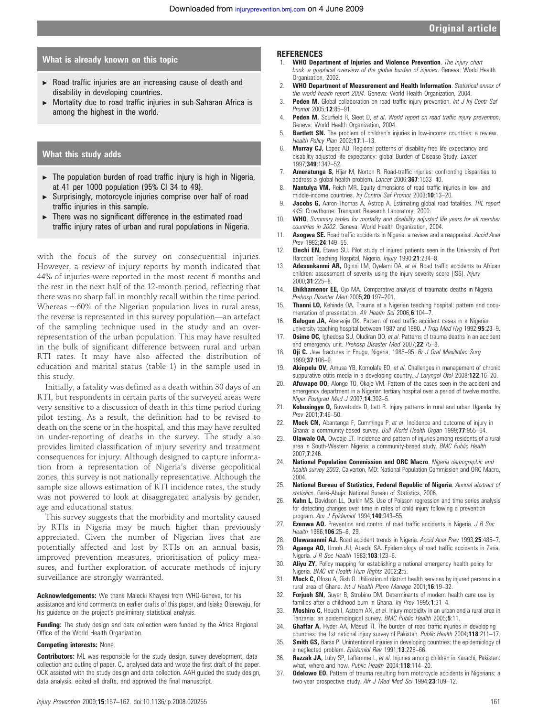#### What is already known on this topic

- $\triangleright$  Road traffic injuries are an increasing cause of death and disability in developing countries.
- Mortality due to road traffic injuries in sub-Saharan Africa is among the highest in the world.

#### What this study adds

- $\blacktriangleright$  The population burden of road traffic injury is high in Nigeria, at 41 per 1000 population (95% CI 34 to 49).
- $\triangleright$  Surprisingly, motorcycle injuries comprise over half of road traffic injuries in this sample.
- There was no significant difference in the estimated road traffic injury rates of urban and rural populations in Nigeria.

with the focus of the survey on consequential injuries. However, a review of injury reports by month indicated that 44% of injuries were reported in the most recent 6 months and the rest in the next half of the 12-month period, reflecting that there was no sharp fall in monthly recall within the time period. Whereas  $~60\%$  of the Nigerian population lives in rural areas, the reverse is represented in this survey population—an artefact of the sampling technique used in the study and an overrepresentation of the urban population. This may have resulted in the bulk of significant difference between rural and urban RTI rates. It may have also affected the distribution of education and marital status (table 1) in the sample used in this study.

Initially, a fatality was defined as a death within 30 days of an RTI, but respondents in certain parts of the surveyed areas were very sensitive to a discussion of death in this time period during pilot testing. As a result, the definition had to be revised to death on the scene or in the hospital, and this may have resulted in under-reporting of deaths in the survey. The study also provides limited classification of injury severity and treatment consequences for injury. Although designed to capture information from a representation of Nigeria's diverse geopolitical zones, this survey is not nationally representative. Although the sample size allows estimation of RTI incidence rates, the study was not powered to look at disaggregated analysis by gender, age and educational status.

This survey suggests that the morbidity and mortality caused by RTIs in Nigeria may be much higher than previously appreciated. Given the number of Nigerian lives that are potentially affected and lost by RTIs on an annual basis, improved prevention measures, prioritisation of policy measures, and further exploration of accurate methods of injury surveillance are strongly warranted.

Acknowledgements: We thank Malecki Khayesi from WHO-Geneva, for his assistance and kind comments on earlier drafts of this paper, and Isiaka Olarewaju, for his guidance on the project's preliminary statistical analysis.

Funding: The study design and data collection were funded by the Africa Regional Office of the World Health Organization.

#### Competing interests: None.

**Contributors:** ML was responsible for the study design, survey development, data collection and outline of paper. CJ analysed data and wrote the first draft of the paper. OCK assisted with the study design and data collection. AAH guided the study design, data analysis, edited all drafts, and approved the final manuscript.

#### **REFERENCES**

- 1. WHO Department of Injuries and Violence Prevention. The injury chart book: a graphical overview of the global burden of injuries. Geneva: World Health Organization, 2002.
- 2. WHO Department of Measurement and Health Information. Statistical annex of the world health report 2004. Geneva: World Health Organization, 2004.
- 3. Peden M. Global collaboration on road traffic injury prevention. Int J Inj Contr Saf Promot 2005;12:85–91.
- 4. Peden M, Scurfield R, Sleet D, et al. World report on road traffic injury prevention. Geneva: World Health Organization, 2004.
- 5. Bartlett SN. The problem of children's injuries in low-income countries: a review. Health Policy Plan 2002;17:1-13.
- 6. Murray CJ, Lopez AD. Regional patterns of disability-free life expectancy and disability-adjusted life expectancy: global Burden of Disease Study. Lancet 1997;349:1347–52.
- 7. **Ameratunga S, Hijar M, Norton R. Road-traffic injuries: confronting disparities to** address a global-health problem. Lancet 2006;367:1533–40.
- 8. Nantulya VM, Reich MR. Equity dimensions of road traffic injuries in low- and middle-income countries. Inj Control Saf Promot 2003;10:13–20.
- 9. **Jacobs G,** Aaron-Thomas A, Astrop A. Estimating global road fatalities. TRL report 445: Crowthorne: Transport Research Laboratory, 2000.
- 10. WHO. Summary tables for mortality and disability adjusted life years for all member countries in 2002. Geneva: World Health Organization, 2004.
- 11. **Asogwa SE.** Road traffic accidents in Nigeria: a review and a reappraisal. Accid Anal Prev 1992:24:149-55.
- 12. **Elechi EN,** Etawo SU. Pilot study of injured patients seen in the University of Port Harcourt Teaching Hospital, Nigeria. Injury 1990;21:234–8.
- 13. **Adesunkanmi AR,** Oginni LM, Oyelami OA, et al. Road traffic accidents to African children: assessment of severity using the injury severity score (ISS). Injury 2000;31:225–8.
- 14. **Ehikhamenor EE,** Ojo MA. Comparative analysis of traumatic deaths in Nigeria. Prehosp Disaster Med 2005;20:197-201.
- 15. Thanni LO, Kehinde OA. Trauma at a Nigerian teaching hospital: pattern and documentation of presentation. Afr Health Sci 2006;6:104-7.
- 16. Balogun JA, Abereoje OK. Pattern of road traffic accident cases in a Nigerian
- university teaching hospital between 1987 and 1990. J Trop Med Hyg 1992;95:23-9. 17. **Osime OC,** Ighedosa SU, Oludiran OO, et al. Patterns of trauma deaths in an accident
- and emergency unit. Prehosp Disaster Med 2007;22:75–8. 18. **Oji C.** Jaw fractures in Enugu, Nigeria, 1985-95. Br J Oral Maxillofac Surg 1999;37:106–9.
- 19. **Akinpelu OV,** Amusa YB, Komolafe EO, et al. Challenges in management of chronic suppurative otitis media in a developing country. J Laryngol Otol 2008;122:16-20.
- 20. **Afuwape 00,** Alonge TO, Okoje VM. Pattern of the cases seen in the accident and emergency department in a Nigerian tertiary hospital over a period of twelve months. Niger Postgrad Med J 2007;14:302–5.
- 21. Kobusingye O, Guwatudde D, Lett R. Injury patterns in rural and urban Uganda. Inj Prev 2001:**7**:46-50.
- Mock CN, Abantanga F, Cummings P, et al. Incidence and outcome of injury in Ghana: a community-based survey. Bull World Health Organ 1999;77:955-64.
- 23. Olawale OA, Owoaje ET. Incidence and pattern of injuries among residents of a rural area in South-Western Nigeria: a community-based study. BMC Public Health 2007;7:246.
- 24. National Population Commission and ORC Macro. Nigeria demographic and health survey 2003. Calverton, MD: National Population Commission and ORC Macro, 2004.
- 25. National Bureau of Statistics, Federal Republic of Nigeria. Annual abstract of statistics. Garki-Abuja: National Bureau of Statistics, 2006.
- 26. **Kuhn L,** Davidson LL, Durkin MS. Use of Poisson regression and time series analysis for detecting changes over time in rates of child injury following a prevention program. Am J Epidemiol 1994;140:943-55.
- 27. **Ezenwa AO.** Prevention and control of road traffic accidents in Nigeria.  $J R Soc$ Health 1986;106:25–6, 29.
- 28. Oluwasanmi AJ. Road accident trends in Nigeria. Accid Anal Prev 1993;25:485-7.
- 29. Aganga AO, Umoh JU, Abechi SA. Epidemiology of road traffic accidents in Zaria, Nigeria. J R Soc Health 1983;103:123-6.
- 30. **Aliyu ZY.** Policy mapping for establishing a national emergency health policy for Nigeria. BMC Int Health Hum Rights 2002;2:5.
- 31. Mock C, Ofosu A, Gish O. Utilization of district health services by injured persons in a rural area of Ghana. Int J Health Plann Manage 2001;16:19–32.
- 32. Forjuoh SN, Guyer B, Strobino DM. Determinants of modern health care use by families after a childhood burn in Ghana. Inj Prev 1995;1:31-4.
- 33. Moshiro C, Heuch I, Astrom AN, et al. Injury morbidity in an urban and a rural area in Tanzania: an epidemiological survey. BMC Public Health 2005;5:11.
- 34. Ghaffar A, Hyder AA, Masud TI. The burden of road traffic injuries in developing countries: the 1st national injury survey of Pakistan. Public Health 2004;118:211-17.
- 35. **Smith GS,** Barss P. Unintentional injuries in developing countries: the epidemiology of a neglected problem. Epidemiol Rev 1991;13:228-66.
- 36. Razzak JA, Luby SP, Laflamme L, et al. Injuries among children in Karachi, Pakistan: what, where and how. Public Health 2004;118:114-20.
- 37. **Odelowo EO.** Pattern of trauma resulting from motorcycle accidents in Nigerians: a two-year prospective study. Afr J Med Med Sci 1994;23:109-12.